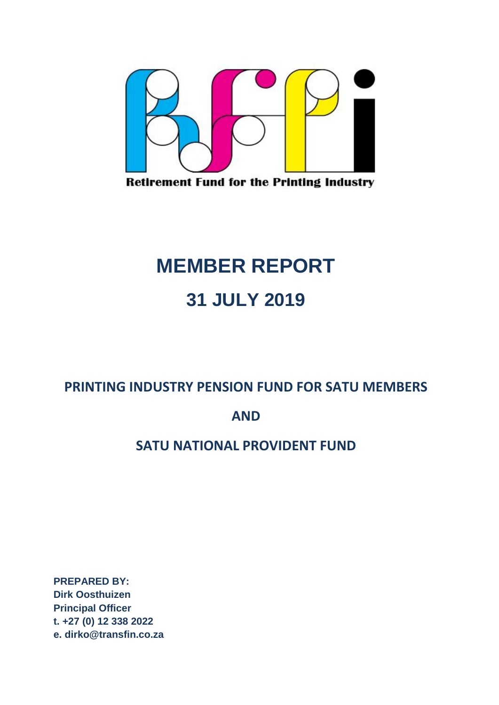

**Retirement Fund for the Printing Industry** 

# **MEMBER REPORT 31 JULY 2019**

## **PRINTING INDUSTRY PENSION FUND FOR SATU MEMBERS**

### **AND**

## **SATU NATIONAL PROVIDENT FUND**

**PREPARED BY: Dirk Oosthuizen Principal Officer t. +27 (0) 12 338 2022 e. dirko@transfin.co.za**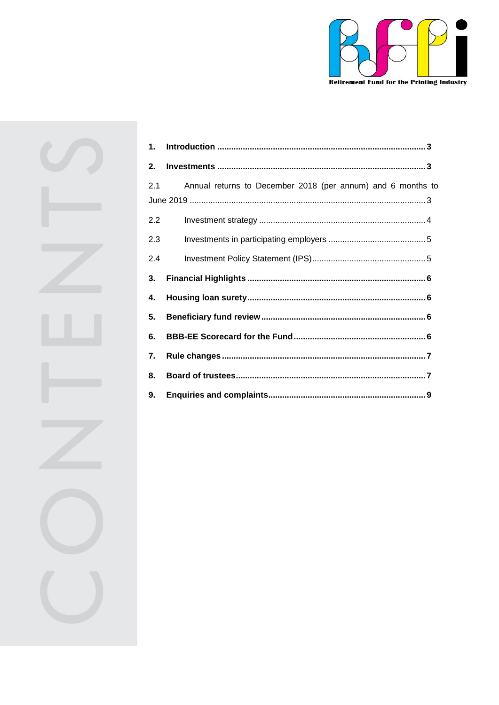

| 1.  |                                                             |  |
|-----|-------------------------------------------------------------|--|
| 2.  |                                                             |  |
| 2.1 | Annual returns to December 2018 (per annum) and 6 months to |  |
|     |                                                             |  |
| 2.2 |                                                             |  |
| 2.3 |                                                             |  |
| 2.4 |                                                             |  |
| 3.  |                                                             |  |
| 4.  |                                                             |  |
| 5.  |                                                             |  |
| 6.  |                                                             |  |
| 7.  |                                                             |  |
| 8.  |                                                             |  |
| 9.  |                                                             |  |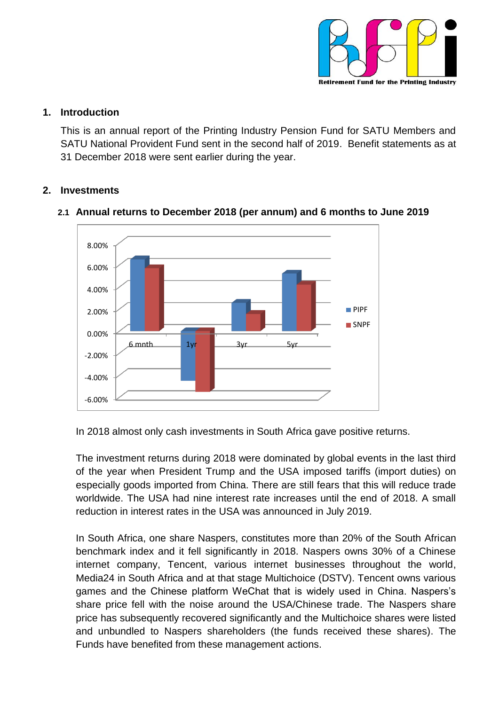

#### <span id="page-2-0"></span>**1. Introduction**

This is an annual report of the Printing Industry Pension Fund for SATU Members and SATU National Provident Fund sent in the second half of 2019. Benefit statements as at 31 December 2018 were sent earlier during the year.

#### <span id="page-2-2"></span><span id="page-2-1"></span>**2. Investments**



#### **2.1 Annual returns to December 2018 (per annum) and 6 months to June 2019**

In 2018 almost only cash investments in South Africa gave positive returns.

The investment returns during 2018 were dominated by global events in the last third of the year when President Trump and the USA imposed tariffs (import duties) on especially goods imported from China. There are still fears that this will reduce trade worldwide. The USA had nine interest rate increases until the end of 2018. A small reduction in interest rates in the USA was announced in July 2019.

In South Africa, one share Naspers, constitutes more than 20% of the South African benchmark index and it fell significantly in 2018. Naspers owns 30% of a Chinese internet company, Tencent, various internet businesses throughout the world, Media24 in South Africa and at that stage Multichoice (DSTV). Tencent owns various games and the Chinese platform WeChat that is widely used in China. Naspers's share price fell with the noise around the USA/Chinese trade. The Naspers share price has subsequently recovered significantly and the Multichoice shares were listed and unbundled to Naspers shareholders (the funds received these shares). The Funds have benefited from these management actions.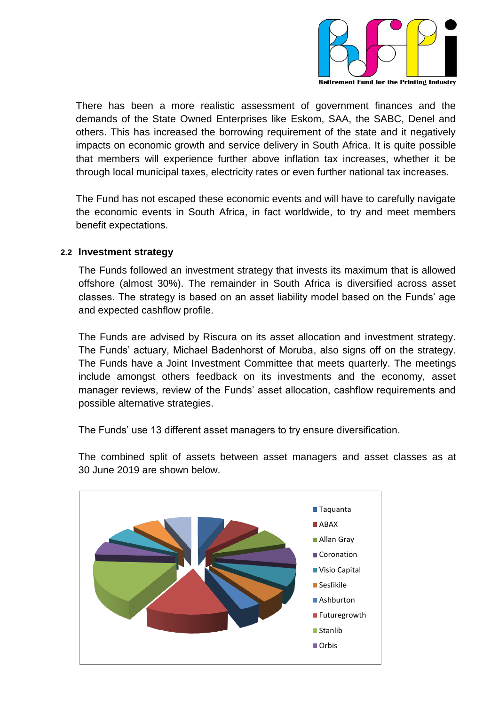

There has been a more realistic assessment of government finances and the demands of the State Owned Enterprises like Eskom, SAA, the SABC, Denel and others. This has increased the borrowing requirement of the state and it negatively impacts on economic growth and service delivery in South Africa. It is quite possible that members will experience further above inflation tax increases, whether it be through local municipal taxes, electricity rates or even further national tax increases.

The Fund has not escaped these economic events and will have to carefully navigate the economic events in South Africa, in fact worldwide, to try and meet members benefit expectations.

#### <span id="page-3-0"></span>**2.2 Investment strategy**

The Funds followed an investment strategy that invests its maximum that is allowed offshore (almost 30%). The remainder in South Africa is diversified across asset classes. The strategy is based on an asset liability model based on the Funds' age and expected cashflow profile.

The Funds are advised by Riscura on its asset allocation and investment strategy. The Funds' actuary, Michael Badenhorst of Moruba, also signs off on the strategy. The Funds have a Joint Investment Committee that meets quarterly. The meetings include amongst others feedback on its investments and the economy, asset manager reviews, review of the Funds' asset allocation, cashflow requirements and possible alternative strategies.

The Funds' use 13 different asset managers to try ensure diversification.

The combined split of assets between asset managers and asset classes as at 30 June 2019 are shown below.

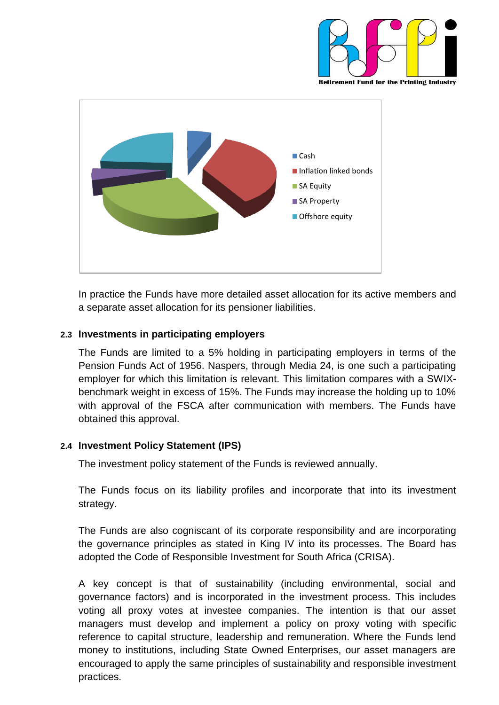



In practice the Funds have more detailed asset allocation for its active members and a separate asset allocation for its pensioner liabilities.

#### <span id="page-4-0"></span>**2.3 Investments in participating employers**

The Funds are limited to a 5% holding in participating employers in terms of the Pension Funds Act of 1956. Naspers, through Media 24, is one such a participating employer for which this limitation is relevant. This limitation compares with a SWIXbenchmark weight in excess of 15%. The Funds may increase the holding up to 10% with approval of the FSCA after communication with members. The Funds have obtained this approval.

#### <span id="page-4-1"></span>**2.4 Investment Policy Statement (IPS)**

The investment policy statement of the Funds is reviewed annually.

The Funds focus on its liability profiles and incorporate that into its investment strategy.

The Funds are also cogniscant of its corporate responsibility and are incorporating the governance principles as stated in King IV into its processes. The Board has adopted the Code of Responsible Investment for South Africa (CRISA).

A key concept is that of sustainability (including environmental, social and governance factors) and is incorporated in the investment process. This includes voting all proxy votes at investee companies. The intention is that our asset managers must develop and implement a policy on proxy voting with specific reference to capital structure, leadership and remuneration. Where the Funds lend money to institutions, including State Owned Enterprises, our asset managers are encouraged to apply the same principles of sustainability and responsible investment practices.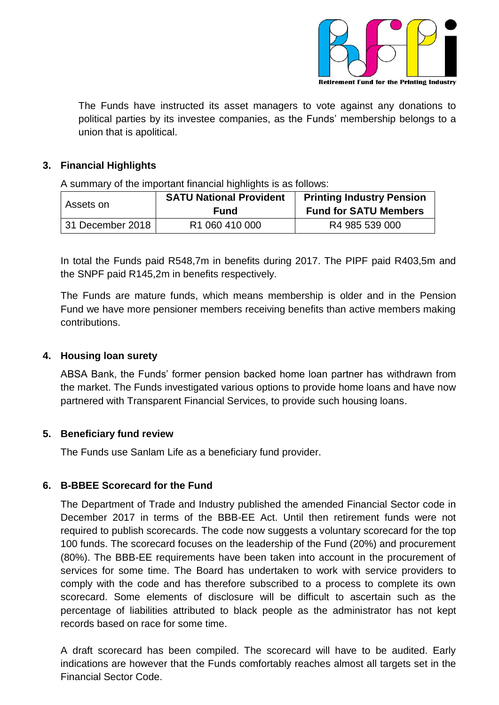

The Funds have instructed its asset managers to vote against any donations to political parties by its investee companies, as the Funds' membership belongs to a union that is apolitical.

#### <span id="page-5-0"></span>**3. Financial Highlights**

A summary of the important financial highlights is as follows:

| Assets on        | <b>SATU National Provident</b> | <b>Printing Industry Pension</b> |  |
|------------------|--------------------------------|----------------------------------|--|
|                  | Fund                           | <b>Fund for SATU Members</b>     |  |
| 31 December 2018 | R <sub>1</sub> 060 410 000     | R4 985 539 000                   |  |

In total the Funds paid R548,7m in benefits during 2017. The PIPF paid R403,5m and the SNPF paid R145,2m in benefits respectively.

The Funds are mature funds, which means membership is older and in the Pension Fund we have more pensioner members receiving benefits than active members making contributions.

#### <span id="page-5-1"></span>**4. Housing loan surety**

ABSA Bank, the Funds' former pension backed home loan partner has withdrawn from the market. The Funds investigated various options to provide home loans and have now partnered with Transparent Financial Services, to provide such housing loans.

#### <span id="page-5-2"></span>**5. Beneficiary fund review**

The Funds use Sanlam Life as a beneficiary fund provider.

#### <span id="page-5-3"></span>**6. B-BBEE Scorecard for the Fund**

The Department of Trade and Industry published the amended Financial Sector code in December 2017 in terms of the BBB-EE Act. Until then retirement funds were not required to publish scorecards. The code now suggests a voluntary scorecard for the top 100 funds. The scorecard focuses on the leadership of the Fund (20%) and procurement (80%). The BBB-EE requirements have been taken into account in the procurement of services for some time. The Board has undertaken to work with service providers to comply with the code and has therefore subscribed to a process to complete its own scorecard. Some elements of disclosure will be difficult to ascertain such as the percentage of liabilities attributed to black people as the administrator has not kept records based on race for some time.

A draft scorecard has been compiled. The scorecard will have to be audited. Early indications are however that the Funds comfortably reaches almost all targets set in the Financial Sector Code.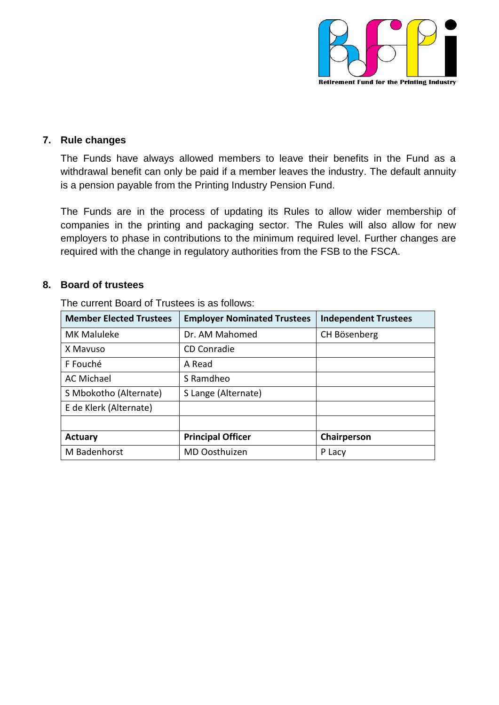

#### <span id="page-6-0"></span>**7. Rule changes**

The Funds have always allowed members to leave their benefits in the Fund as a withdrawal benefit can only be paid if a member leaves the industry. The default annuity is a pension payable from the Printing Industry Pension Fund.

The Funds are in the process of updating its Rules to allow wider membership of companies in the printing and packaging sector. The Rules will also allow for new employers to phase in contributions to the minimum required level. Further changes are required with the change in regulatory authorities from the FSB to the FSCA.

#### <span id="page-6-1"></span>**8. Board of trustees**

| <b>Member Elected Trustees</b> | <b>Employer Nominated Trustees</b> | <b>Independent Trustees</b> |
|--------------------------------|------------------------------------|-----------------------------|
| <b>MK Maluleke</b>             | Dr. AM Mahomed                     | CH Bösenberg                |
| X Mavuso                       | CD Conradie                        |                             |
| F Fouché                       | A Read                             |                             |
| <b>AC Michael</b>              | S Ramdheo                          |                             |
| S Mbokotho (Alternate)         | S Lange (Alternate)                |                             |
| E de Klerk (Alternate)         |                                    |                             |
|                                |                                    |                             |
| Actuary                        | <b>Principal Officer</b>           | Chairperson                 |
| M Badenhorst                   | MD Oosthuizen                      | P Lacy                      |

The current Board of Trustees is as follows: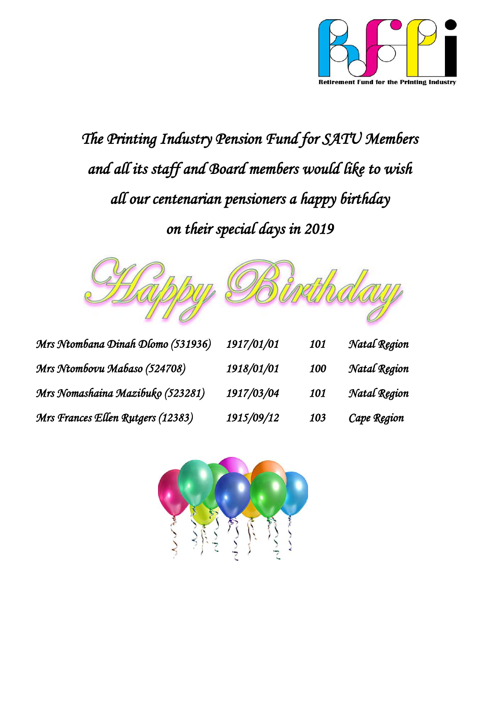

*The Printing Industry Pension Fund for SATU Members and all its staff and Board members would like to wish all our centenarian pensioners a happy birthday on their special days in 2019* 



| Mrs Ntombana Dinah Dlomo (531936) | 1917/01/01 | 101 | Natal Region |
|-----------------------------------|------------|-----|--------------|
| Mrs Ntombovu Mabaso (524708)      | 1918/01/01 | 100 | Natal Region |
| Mrs Nomashaina Mazibuko (523281)  | 1917/03/04 | 101 | Natal Region |
| Mrs Frances Ellen Rutgers (12383) | 1915/09/12 | 103 | Cape Region  |

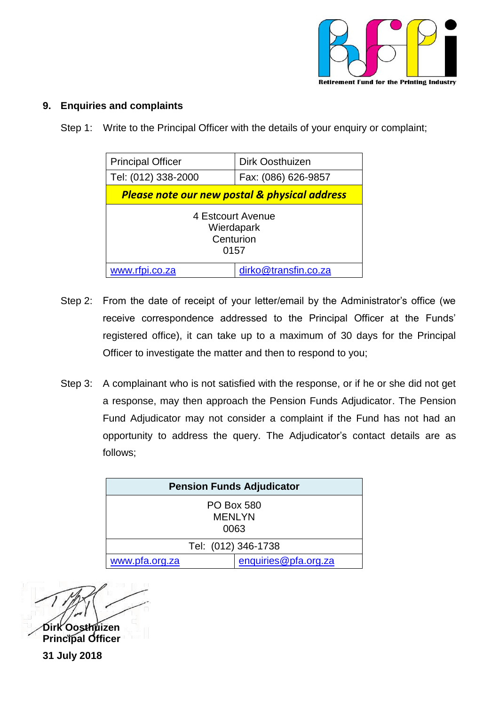

#### <span id="page-8-0"></span>**9. Enquiries and complaints**

Step 1: Write to the Principal Officer with the details of your enquiry or complaint;

| <b>Principal Officer</b>                                 | Dirk Oosthuizen      |  |
|----------------------------------------------------------|----------------------|--|
| Tel: (012) 338-2000                                      | Fax: (086) 626-9857  |  |
| <b>Please note our new postal &amp; physical address</b> |                      |  |
| 4 Estcourt Avenue<br>Wierdapark<br>Centurion<br>0157     |                      |  |
| www.rfpi.co.za                                           | dirko@transfin.co.za |  |

- Step 2: From the date of receipt of your letter/email by the Administrator's office (we receive correspondence addressed to the Principal Officer at the Funds' registered office), it can take up to a maximum of 30 days for the Principal Officer to investigate the matter and then to respond to you;
- Step 3: A complainant who is not satisfied with the response, or if he or she did not get a response, may then approach the Pension Funds Adjudicator. The Pension Fund Adjudicator may not consider a complaint if the Fund has not had an opportunity to address the query. The Adjudicator's contact details are as follows;

| <b>Pension Funds Adjudicator</b>           |                      |  |
|--------------------------------------------|----------------------|--|
| <b>PO Box 580</b><br><b>MENLYN</b><br>0063 |                      |  |
| Tel: (012) 346-1738                        |                      |  |
| www.pfa.org.za                             | enquiries@pfa.org.za |  |

**Dirk Oosthuizen Principal Officer 31 July 2018**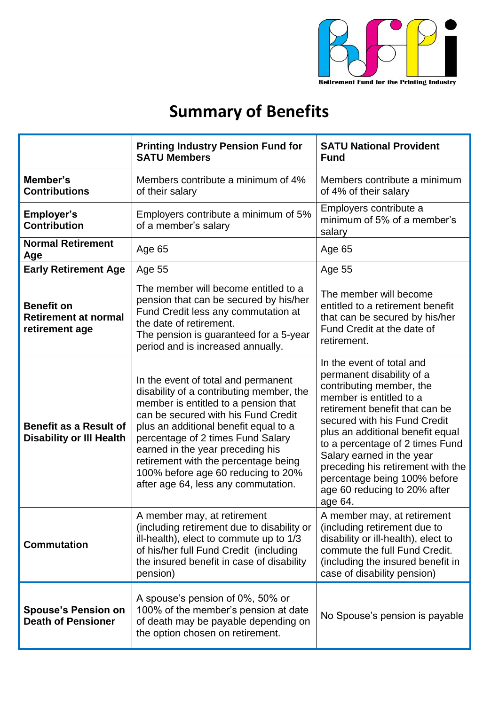

## **Summary of Benefits**

|                                                                    | <b>Printing Industry Pension Fund for</b><br><b>SATU Members</b>                                                                                                                                                                                                                                                                                                                                      | <b>SATU National Provident</b><br><b>Fund</b>                                                                                                                                                                                                                                                                                                                                                       |
|--------------------------------------------------------------------|-------------------------------------------------------------------------------------------------------------------------------------------------------------------------------------------------------------------------------------------------------------------------------------------------------------------------------------------------------------------------------------------------------|-----------------------------------------------------------------------------------------------------------------------------------------------------------------------------------------------------------------------------------------------------------------------------------------------------------------------------------------------------------------------------------------------------|
| Member's<br><b>Contributions</b>                                   | Members contribute a minimum of 4%<br>of their salary                                                                                                                                                                                                                                                                                                                                                 | Members contribute a minimum<br>of 4% of their salary                                                                                                                                                                                                                                                                                                                                               |
| <b>Employer's</b><br><b>Contribution</b>                           | Employers contribute a minimum of 5%<br>of a member's salary                                                                                                                                                                                                                                                                                                                                          | Employers contribute a<br>minimum of 5% of a member's<br>salary                                                                                                                                                                                                                                                                                                                                     |
| <b>Normal Retirement</b><br>Age                                    | Age 65                                                                                                                                                                                                                                                                                                                                                                                                | Age 65                                                                                                                                                                                                                                                                                                                                                                                              |
| <b>Early Retirement Age</b>                                        | Age 55                                                                                                                                                                                                                                                                                                                                                                                                | Age 55                                                                                                                                                                                                                                                                                                                                                                                              |
| <b>Benefit on</b><br><b>Retirement at normal</b><br>retirement age | The member will become entitled to a<br>pension that can be secured by his/her<br>Fund Credit less any commutation at<br>the date of retirement.<br>The pension is guaranteed for a 5-year<br>period and is increased annually.                                                                                                                                                                       | The member will become<br>entitled to a retirement benefit<br>that can be secured by his/her<br>Fund Credit at the date of<br>retirement.                                                                                                                                                                                                                                                           |
| <b>Benefit as a Result of</b><br><b>Disability or III Health</b>   | In the event of total and permanent<br>disability of a contributing member, the<br>member is entitled to a pension that<br>can be secured with his Fund Credit<br>plus an additional benefit equal to a<br>percentage of 2 times Fund Salary<br>earned in the year preceding his<br>retirement with the percentage being<br>100% before age 60 reducing to 20%<br>after age 64, less any commutation. | In the event of total and<br>permanent disability of a<br>contributing member, the<br>member is entitled to a<br>retirement benefit that can be<br>secured with his Fund Credit<br>plus an additional benefit equal<br>to a percentage of 2 times Fund<br>Salary earned in the year<br>preceding his retirement with the<br>percentage being 100% before<br>age 60 reducing to 20% after<br>age 64. |
| <b>Commutation</b>                                                 | A member may, at retirement<br>(including retirement due to disability or<br>ill-health), elect to commute up to 1/3<br>of his/her full Fund Credit (including<br>the insured benefit in case of disability<br>pension)                                                                                                                                                                               | A member may, at retirement<br>(including retirement due to<br>disability or ill-health), elect to<br>commute the full Fund Credit.<br>(including the insured benefit in<br>case of disability pension)                                                                                                                                                                                             |
| <b>Spouse's Pension on</b><br><b>Death of Pensioner</b>            | A spouse's pension of 0%, 50% or<br>100% of the member's pension at date<br>of death may be payable depending on<br>the option chosen on retirement.                                                                                                                                                                                                                                                  | No Spouse's pension is payable                                                                                                                                                                                                                                                                                                                                                                      |